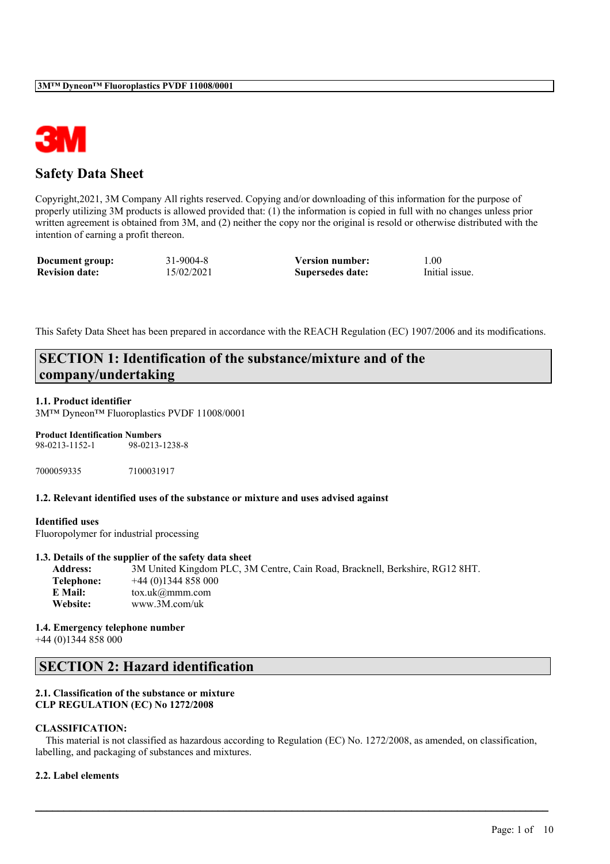

## **Safety Data Sheet**

Copyright,2021, 3M Company All rights reserved. Copying and/or downloading of this information for the purpose of properly utilizing 3M products is allowed provided that: (1) the information is copied in full with no changes unless prior written agreement is obtained from 3M, and (2) neither the copy nor the original is resold or otherwise distributed with the intention of earning a profit thereon.

| Document group:       | 31-9004-8  | <b>Version number:</b> | 1.00           |
|-----------------------|------------|------------------------|----------------|
| <b>Revision date:</b> | 15/02/2021 | Supersedes date:       | Initial issue. |

This Safety Data Sheet has been prepared in accordance with the REACH Regulation (EC) 1907/2006 and its modifications.

## **SECTION 1: Identification of the substance/mixture and of the company/undertaking**

### **1.1. Product identifier**

3M™ Dyneon™ Fluoroplastics PVDF 11008/0001

#### **Product Identification Numbers**

98-0213-1152-1 98-0213-1238-8

7000059335 7100031917

## **1.2. Relevant identified uses of the substance or mixture and uses advised against**

#### **Identified uses**

Fluoropolymer for industrial processing

## **1.3. Details of the supplier of the safety data sheet**

**Address:** 3M United Kingdom PLC, 3M Centre, Cain Road, Bracknell, Berkshire, RG12 8HT. **Telephone:** +44 (0)1344 858 000 **E Mail:** tox.uk@mmm.com **Website:** www.3M.com/uk

**1.4. Emergency telephone number** +44 (0)1344 858 000

## **SECTION 2: Hazard identification**

### **2.1. Classification of the substance or mixture CLP REGULATION (EC) No 1272/2008**

## **CLASSIFICATION:**

This material is not classified as hazardous according to Regulation (EC) No. 1272/2008, as amended, on classification, labelling, and packaging of substances and mixtures.

 $\mathcal{L}_\mathcal{L} = \mathcal{L}_\mathcal{L} = \mathcal{L}_\mathcal{L} = \mathcal{L}_\mathcal{L} = \mathcal{L}_\mathcal{L} = \mathcal{L}_\mathcal{L} = \mathcal{L}_\mathcal{L} = \mathcal{L}_\mathcal{L} = \mathcal{L}_\mathcal{L} = \mathcal{L}_\mathcal{L} = \mathcal{L}_\mathcal{L} = \mathcal{L}_\mathcal{L} = \mathcal{L}_\mathcal{L} = \mathcal{L}_\mathcal{L} = \mathcal{L}_\mathcal{L} = \mathcal{L}_\mathcal{L} = \mathcal{L}_\mathcal{L}$ 

## **2.2. Label elements**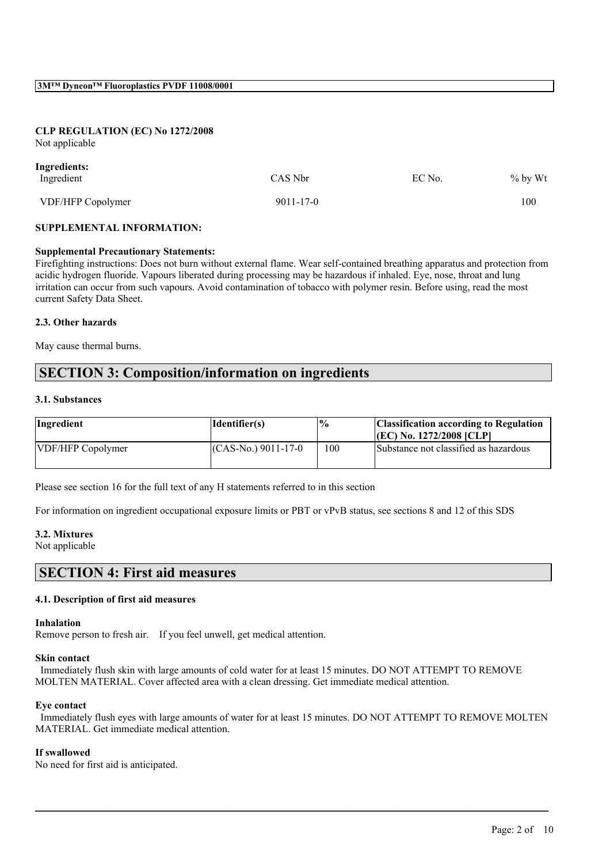## **CLP REGULATION (EC) No 1272/2008**

Not applicable

| Ingredients:      |                 |        |            |
|-------------------|-----------------|--------|------------|
| Ingredient        | CAS Nbr         | EC No. | $\%$ by Wt |
| VDF/HFP Copolymer | $9011 - 17 - 0$ |        | 100        |

### **SUPPLEMENTAL INFORMATION:**

#### **Supplemental Precautionary Statements:**

Firefighting instructions: Does not burn without external flame. Wear self-contained breathing apparatus and protection from acidic hydrogen fluoride. Vapours liberated during processing may be hazardous if inhaled. Eye, nose, throat and lung irritation can occur from such vapours. Avoid contamination of tobacco with polymer resin. Before using, read the most current Safety Data Sheet.

### **2.3. Other hazards**

May cause thermal burns.

## **SECTION 3: Composition/information on ingredients**

### **3.1. Substances**

| Ingredient        | Identifier(s)        | $\frac{10}{6}$ | <b>Classification according to Regulation</b> |
|-------------------|----------------------|----------------|-----------------------------------------------|
|                   |                      |                | $ (EC)$ No. 1272/2008 $ CLP $                 |
| VDF/HFP Copolymer | $(CAS-N0)$ 9011-17-0 | 100            | Substance not classified as hazardous         |

Please see section 16 for the full text of any H statements referred to in this section

For information on ingredient occupational exposure limits or PBT or vPvB status, see sections 8 and 12 of this SDS

#### **3.2. Mixtures**

Not applicable

## **SECTION 4: First aid measures**

## **4.1. Description of first aid measures**

#### **Inhalation**

Remove person to fresh air. If you feel unwell, get medical attention.

#### **Skin contact**

Immediately flush skin with large amounts of cold water for at least 15 minutes. DO NOT ATTEMPT TO REMOVE MOLTEN MATERIAL. Cover affected area with a clean dressing. Get immediate medical attention.

#### **Eye contact**

Immediately flush eyes with large amounts of water for at least 15 minutes. DO NOT ATTEMPT TO REMOVE MOLTEN MATERIAL. Get immediate medical attention.

 $\mathcal{L}_\mathcal{L} = \mathcal{L}_\mathcal{L} = \mathcal{L}_\mathcal{L} = \mathcal{L}_\mathcal{L} = \mathcal{L}_\mathcal{L} = \mathcal{L}_\mathcal{L} = \mathcal{L}_\mathcal{L} = \mathcal{L}_\mathcal{L} = \mathcal{L}_\mathcal{L} = \mathcal{L}_\mathcal{L} = \mathcal{L}_\mathcal{L} = \mathcal{L}_\mathcal{L} = \mathcal{L}_\mathcal{L} = \mathcal{L}_\mathcal{L} = \mathcal{L}_\mathcal{L} = \mathcal{L}_\mathcal{L} = \mathcal{L}_\mathcal{L}$ 

## **If swallowed**

No need for first aid is anticipated.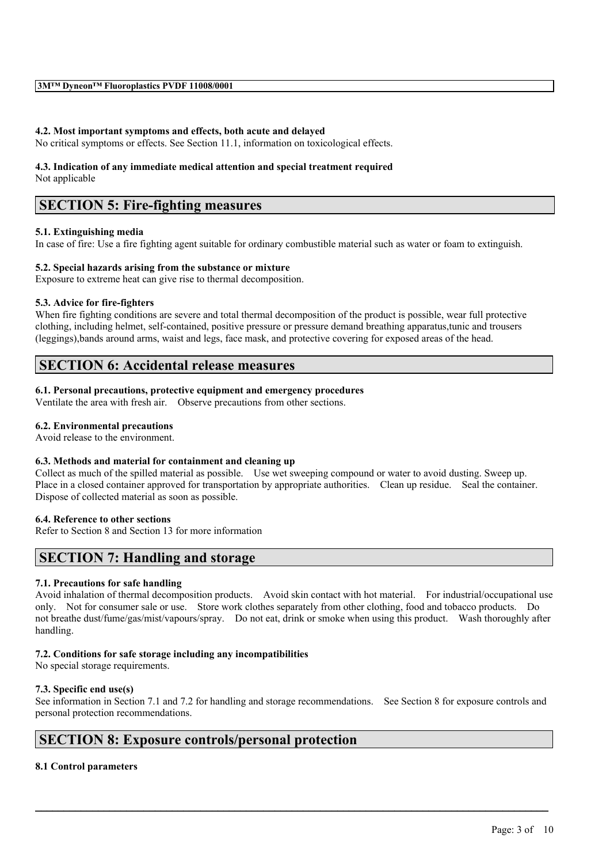## **4.2. Most important symptoms and effects, both acute and delayed**

No critical symptoms or effects. See Section 11.1, information on toxicological effects.

# **4.3. Indication of any immediate medical attention and special treatment required**

Not applicable

## **SECTION 5: Fire-fighting measures**

## **5.1. Extinguishing media**

In case of fire: Use a fire fighting agent suitable for ordinary combustible material such as water or foam to extinguish.

## **5.2. Special hazards arising from the substance or mixture**

Exposure to extreme heat can give rise to thermal decomposition.

## **5.3. Advice for fire-fighters**

When fire fighting conditions are severe and total thermal decomposition of the product is possible, wear full protective clothing, including helmet, self-contained, positive pressure or pressure demand breathing apparatus,tunic and trousers (leggings),bands around arms, waist and legs, face mask, and protective covering for exposed areas of the head.

## **SECTION 6: Accidental release measures**

## **6.1. Personal precautions, protective equipment and emergency procedures**

Ventilate the area with fresh air. Observe precautions from other sections.

## **6.2. Environmental precautions**

Avoid release to the environment.

## **6.3. Methods and material for containment and cleaning up**

Collect as much of the spilled material as possible. Use wet sweeping compound or water to avoid dusting. Sweep up. Place in a closed container approved for transportation by appropriate authorities. Clean up residue. Seal the container. Dispose of collected material as soon as possible.

## **6.4. Reference to other sections**

Refer to Section 8 and Section 13 for more information

## **SECTION 7: Handling and storage**

## **7.1. Precautions for safe handling**

Avoid inhalation of thermal decomposition products. Avoid skin contact with hot material. For industrial/occupational use only. Not for consumer sale or use. Store work clothes separately from other clothing, food and tobacco products. Do not breathe dust/fume/gas/mist/vapours/spray. Do not eat, drink or smoke when using this product. Wash thoroughly after handling.

## **7.2. Conditions for safe storage including any incompatibilities**

No special storage requirements.

## **7.3. Specific end use(s)**

See information in Section 7.1 and 7.2 for handling and storage recommendations. See Section 8 for exposure controls and personal protection recommendations.

 $\mathcal{L}_\mathcal{L} = \mathcal{L}_\mathcal{L} = \mathcal{L}_\mathcal{L} = \mathcal{L}_\mathcal{L} = \mathcal{L}_\mathcal{L} = \mathcal{L}_\mathcal{L} = \mathcal{L}_\mathcal{L} = \mathcal{L}_\mathcal{L} = \mathcal{L}_\mathcal{L} = \mathcal{L}_\mathcal{L} = \mathcal{L}_\mathcal{L} = \mathcal{L}_\mathcal{L} = \mathcal{L}_\mathcal{L} = \mathcal{L}_\mathcal{L} = \mathcal{L}_\mathcal{L} = \mathcal{L}_\mathcal{L} = \mathcal{L}_\mathcal{L}$ 

## **SECTION 8: Exposure controls/personal protection**

## **8.1 Control parameters**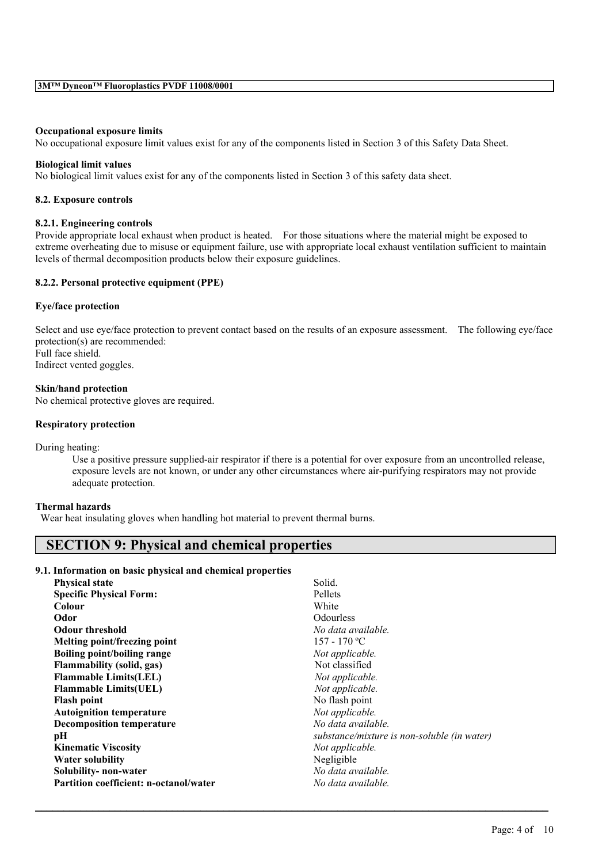#### **Occupational exposure limits**

No occupational exposure limit values exist for any of the components listed in Section 3 of this Safety Data Sheet.

#### **Biological limit values**

No biological limit values exist for any of the components listed in Section 3 of this safety data sheet.

#### **8.2. Exposure controls**

#### **8.2.1. Engineering controls**

Provide appropriate local exhaust when product is heated. For those situations where the material might be exposed to extreme overheating due to misuse or equipment failure, use with appropriate local exhaust ventilation sufficient to maintain levels of thermal decomposition products below their exposure guidelines.

#### **8.2.2. Personal protective equipment (PPE)**

#### **Eye/face protection**

Select and use eye/face protection to prevent contact based on the results of an exposure assessment. The following eye/face protection(s) are recommended: Full face shield. Indirect vented goggles.

## **Skin/hand protection**

No chemical protective gloves are required.

#### **Respiratory protection**

During heating:

Use a positive pressure supplied-air respirator if there is a potential for over exposure from an uncontrolled release, exposure levels are not known, or under any other circumstances where air-purifying respirators may not provide adequate protection.

#### **Thermal hazards**

Wear heat insulating gloves when handling hot material to prevent thermal burns.

## **SECTION 9: Physical and chemical properties**

### **9.1. Information on basic physical and chemical properties**

| <b>Physical state</b>                         | Solid.                                      |
|-----------------------------------------------|---------------------------------------------|
| <b>Specific Physical Form:</b>                | Pellets                                     |
| Colour                                        | White                                       |
| Odor                                          | <b>Odourless</b>                            |
| <b>Odour threshold</b>                        | No data available.                          |
| Melting point/freezing point                  | 157 - 170 °C                                |
| Boiling point/boiling range                   | Not applicable.                             |
| <b>Flammability (solid, gas)</b>              | Not classified                              |
| <b>Flammable Limits(LEL)</b>                  | Not applicable.                             |
| <b>Flammable Limits(UEL)</b>                  | Not applicable.                             |
| <b>Flash point</b>                            | No flash point                              |
| <b>Autoignition temperature</b>               | Not applicable.                             |
| <b>Decomposition temperature</b>              | No data available.                          |
| pН                                            | substance/mixture is non-soluble (in water) |
| <b>Kinematic Viscosity</b>                    | Not applicable.                             |
| <b>Water solubility</b>                       | Negligible                                  |
| Solubility-non-water                          | No data available.                          |
| <b>Partition coefficient: n-octanol/water</b> | No data available.                          |
|                                               |                                             |

 $\mathcal{L}_\mathcal{L} = \mathcal{L}_\mathcal{L} = \mathcal{L}_\mathcal{L} = \mathcal{L}_\mathcal{L} = \mathcal{L}_\mathcal{L} = \mathcal{L}_\mathcal{L} = \mathcal{L}_\mathcal{L} = \mathcal{L}_\mathcal{L} = \mathcal{L}_\mathcal{L} = \mathcal{L}_\mathcal{L} = \mathcal{L}_\mathcal{L} = \mathcal{L}_\mathcal{L} = \mathcal{L}_\mathcal{L} = \mathcal{L}_\mathcal{L} = \mathcal{L}_\mathcal{L} = \mathcal{L}_\mathcal{L} = \mathcal{L}_\mathcal{L}$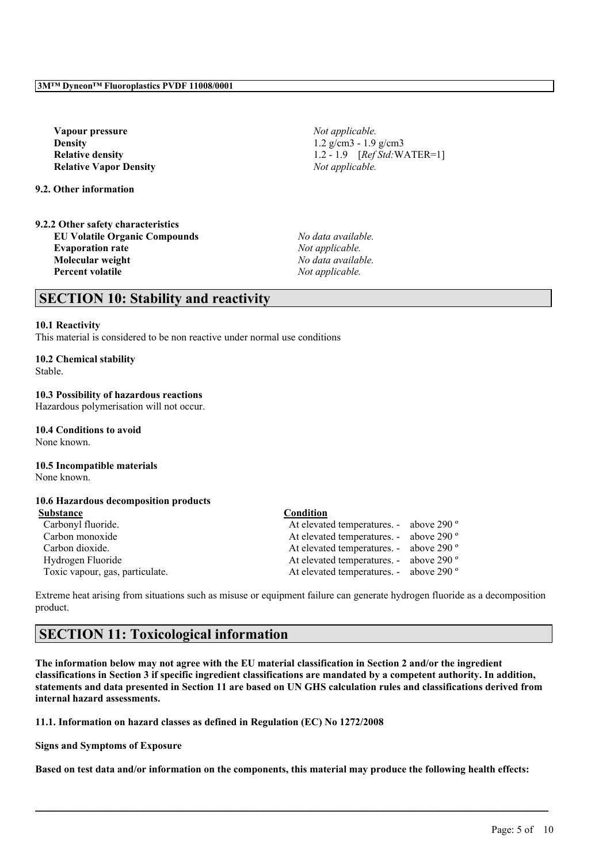**Vapour pressure** *Not applicable.* **Density** 1.2 g/cm3 - 1.9 g/cm3 **Relative Vapor Density** *Not applicable.*

**9.2. Other information**

**9.2.2 Other safety characteristics EU Volatile Organic Compounds** *No data available.* **Evaporation rate** *Not applicable.* **Molecular weight** *No data available.* **Percent volatile** *Not applicable.*

**Relative density** 1.2 - 1.9 *[Ref Std:* WATER=1]

## **SECTION 10: Stability and reactivity**

#### **10.1 Reactivity**

This material is considered to be non reactive under normal use conditions

## **10.2 Chemical stability**

Stable.

**10.3 Possibility of hazardous reactions** Hazardous polymerisation will not occur.

### **10.4 Conditions to avoid**

None known.

## **10.5 Incompatible materials**

None known.

## **10.6 Hazardous decomposition products**

| Substance                       | Condition                               |  |
|---------------------------------|-----------------------------------------|--|
| Carbonyl fluoride.              | At elevated temperatures. - above 290 ° |  |
| Carbon monoxide                 | At elevated temperatures. - above 290 ° |  |
| Carbon dioxide.                 | At elevated temperatures. - above 290 ° |  |
| Hydrogen Fluoride               | At elevated temperatures. - above 290 ° |  |
| Toxic vapour, gas, particulate. | At elevated temperatures. - above 290 ° |  |

Extreme heat arising from situations such as misuse or equipment failure can generate hydrogen fluoride as a decomposition product.

## **SECTION 11: Toxicological information**

The information below may not agree with the EU material classification in Section 2 and/or the ingredient classifications in Section 3 if specific ingredient classifications are mandated by a competent authority. In addition, statements and data presented in Section 11 are based on UN GHS calculation rules and classifications derived from **internal hazard assessments.**

**11.1. Information on hazard classes as defined in Regulation (EC) No 1272/2008**

**Signs and Symptoms of Exposure**

Based on test data and/or information on the components, this material may produce the following health effects:

 $\mathcal{L}_\mathcal{L} = \mathcal{L}_\mathcal{L} = \mathcal{L}_\mathcal{L} = \mathcal{L}_\mathcal{L} = \mathcal{L}_\mathcal{L} = \mathcal{L}_\mathcal{L} = \mathcal{L}_\mathcal{L} = \mathcal{L}_\mathcal{L} = \mathcal{L}_\mathcal{L} = \mathcal{L}_\mathcal{L} = \mathcal{L}_\mathcal{L} = \mathcal{L}_\mathcal{L} = \mathcal{L}_\mathcal{L} = \mathcal{L}_\mathcal{L} = \mathcal{L}_\mathcal{L} = \mathcal{L}_\mathcal{L} = \mathcal{L}_\mathcal{L}$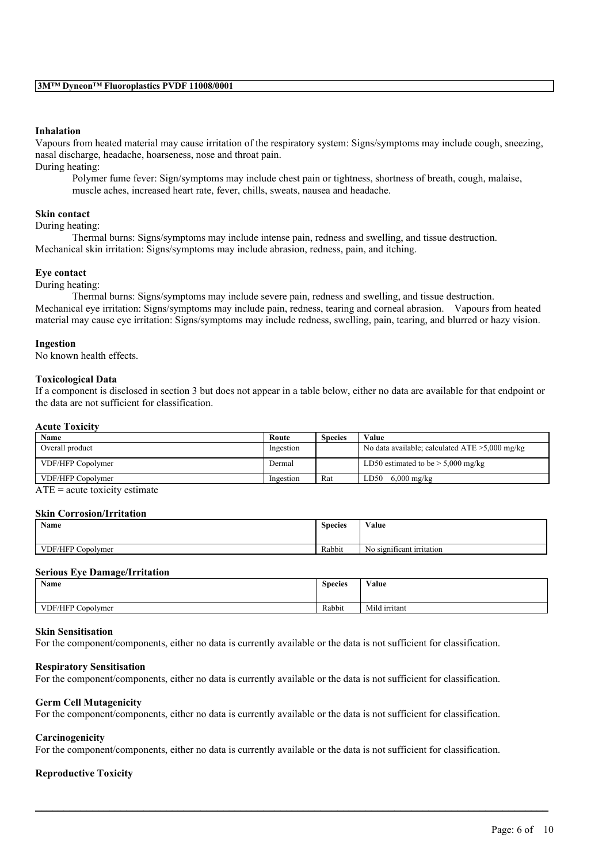### **Inhalation**

Vapours from heated material may cause irritation of the respiratory system: Signs/symptoms may include cough, sneezing, nasal discharge, headache, hoarseness, nose and throat pain.

During heating:

Polymer fume fever: Sign/symptoms may include chest pain or tightness, shortness of breath, cough, malaise, muscle aches, increased heart rate, fever, chills, sweats, nausea and headache.

#### **Skin contact**

During heating:

Thermal burns: Signs/symptoms may include intense pain, redness and swelling, and tissue destruction. Mechanical skin irritation: Signs/symptoms may include abrasion, redness, pain, and itching.

#### **Eye contact**

During heating:

Thermal burns: Signs/symptoms may include severe pain, redness and swelling, and tissue destruction. Mechanical eye irritation: Signs/symptoms may include pain, redness, tearing and corneal abrasion. Vapours from heated material may cause eye irritation: Signs/symptoms may include redness, swelling, pain, tearing, and blurred or hazy vision.

#### **Ingestion**

No known health effects.

#### **Toxicological Data**

If a component is disclosed in section 3 but does not appear in a table below, either no data are available for that endpoint or the data are not sufficient for classification.

#### **Acute Toxicity**

| Name              | Route     | <b>Species</b> | Value                                             |
|-------------------|-----------|----------------|---------------------------------------------------|
| Overall product   | Ingestion |                | No data available; calculated $ATE > 5,000$ mg/kg |
| VDF/HFP Copolymer | Dermal    |                | LD50 estimated to be $> 5,000$ mg/kg              |
| VDF/HFP Copolymer | Ingestion | Rat            | LD50<br>$6,000 \text{ mg/kg}$                     |

 $\overline{ATE}$  = acute toxicity estimate

#### **Skin Corrosion/Irritation**

| Name                           | $\sim$<br><b>Species</b> | $X$ $Y$ $Y$<br>⁄ alue                     |
|--------------------------------|--------------------------|-------------------------------------------|
|                                |                          |                                           |
| <b>VDF/HFP Co</b><br>Copolymer | Rabbit                   | $\sim$<br>ъ,<br>No significant irritation |

#### **Serious Eye Damage/Irritation**

| Name                           | <b>Species</b> | Value         |
|--------------------------------|----------------|---------------|
|                                |                |               |
| <b>VDF/HFP Co</b><br>Copolymer | Rabbit         | Mild irritant |

#### **Skin Sensitisation**

For the component/components, either no data is currently available or the data is not sufficient for classification.

#### **Respiratory Sensitisation**

For the component/components, either no data is currently available or the data is not sufficient for classification.

#### **Germ Cell Mutagenicity**

For the component/components, either no data is currently available or the data is not sufficient for classification.

#### **Carcinogenicity**

For the component/components, either no data is currently available or the data is not sufficient for classification.

 $\mathcal{L}_\mathcal{L} = \mathcal{L}_\mathcal{L} = \mathcal{L}_\mathcal{L} = \mathcal{L}_\mathcal{L} = \mathcal{L}_\mathcal{L} = \mathcal{L}_\mathcal{L} = \mathcal{L}_\mathcal{L} = \mathcal{L}_\mathcal{L} = \mathcal{L}_\mathcal{L} = \mathcal{L}_\mathcal{L} = \mathcal{L}_\mathcal{L} = \mathcal{L}_\mathcal{L} = \mathcal{L}_\mathcal{L} = \mathcal{L}_\mathcal{L} = \mathcal{L}_\mathcal{L} = \mathcal{L}_\mathcal{L} = \mathcal{L}_\mathcal{L}$ 

#### **Reproductive Toxicity**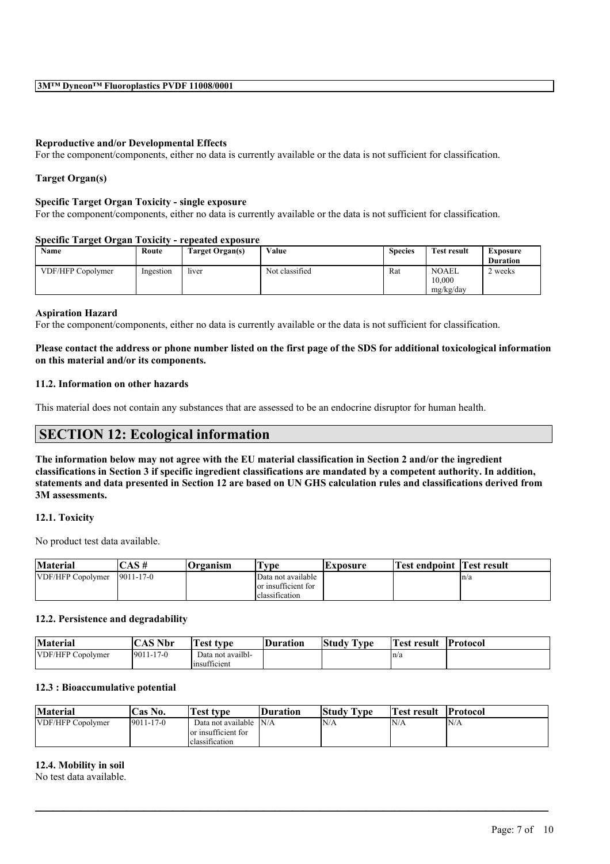### **Reproductive and/or Developmental Effects**

For the component/components, either no data is currently available or the data is not sufficient for classification.

### **Target Organ(s)**

#### **Specific Target Organ Toxicity - single exposure**

For the component/components, either no data is currently available or the data is not sufficient for classification.

### **Specific Target Organ Toxicity - repeated exposure**

| <b>Name</b>       | Route     | Target Organ(s) | Value          | <b>Species</b> | <b>Test result</b> | Exposure        |
|-------------------|-----------|-----------------|----------------|----------------|--------------------|-----------------|
|                   |           |                 |                |                |                    | <b>Duration</b> |
| VDF/HFP Copolymer | Ingestion | liver           | Not classified | Rat            | <b>NOAEL</b>       | 2 weeks         |
|                   |           |                 |                |                | 10.000             |                 |
|                   |           |                 |                |                | mg/kg/day          |                 |

#### **Aspiration Hazard**

For the component/components, either no data is currently available or the data is not sufficient for classification.

### Please contact the address or phone number listed on the first page of the SDS for additional toxicological information **on this material and/or its components.**

#### **11.2. Information on other hazards**

This material does not contain any substances that are assessed to be an endocrine disruptor for human health.

## **SECTION 12: Ecological information**

The information below may not agree with the EU material classification in Section 2 and/or the ingredient classifications in Section 3 if specific ingredient classifications are mandated by a competent authority. In addition, statements and data presented in Section 12 are based on UN GHS calculation rules and classifications derived from **3M assessments.**

#### **12.1. Toxicity**

No product test data available.

| <b>Material</b>   | AS #             | <b>Organism</b> | vpe                                                         | <b>IExposure</b> | Test endpoint | Test result |
|-------------------|------------------|-----------------|-------------------------------------------------------------|------------------|---------------|-------------|
| VDF/HFP Copolymer | $19011 - 17 - 0$ |                 | Data not available<br>or insufficient for<br>classification |                  |               | ln/a        |

#### **12.2. Persistence and degradability**

| <b>Material</b>   | <b>CAS Nbr</b>   | l'est tvne                                   | <b>Duration</b> | Study  <br><b>CONTRACTOR</b><br>Tvpe | <b>Test result</b> | <b>Protocol</b> |
|-------------------|------------------|----------------------------------------------|-----------------|--------------------------------------|--------------------|-----------------|
| VDF/HFP Copolymer | $19011 - 17 - 0$ | Data not availbl-<br>$\sim$<br>linsufficient |                 |                                      | ln/a               |                 |

### **12.3 : Bioaccumulative potential**

| <b>Material</b>   | <b>Cas No.</b>   | Test type                                                   | <b>Duration</b> | <b>Study Type</b> | <b>Test result</b> | <b>Protocol</b> |
|-------------------|------------------|-------------------------------------------------------------|-----------------|-------------------|--------------------|-----------------|
| VDF/HFP Copolymer | $19011 - 17 - 0$ | Data not available<br>or insufficient for<br>classification | N/A             | N/A               | 'N/A               | IN/A            |

 $\mathcal{L}_\mathcal{L} = \mathcal{L}_\mathcal{L} = \mathcal{L}_\mathcal{L} = \mathcal{L}_\mathcal{L} = \mathcal{L}_\mathcal{L} = \mathcal{L}_\mathcal{L} = \mathcal{L}_\mathcal{L} = \mathcal{L}_\mathcal{L} = \mathcal{L}_\mathcal{L} = \mathcal{L}_\mathcal{L} = \mathcal{L}_\mathcal{L} = \mathcal{L}_\mathcal{L} = \mathcal{L}_\mathcal{L} = \mathcal{L}_\mathcal{L} = \mathcal{L}_\mathcal{L} = \mathcal{L}_\mathcal{L} = \mathcal{L}_\mathcal{L}$ 

#### **12.4. Mobility in soil**

No test data available.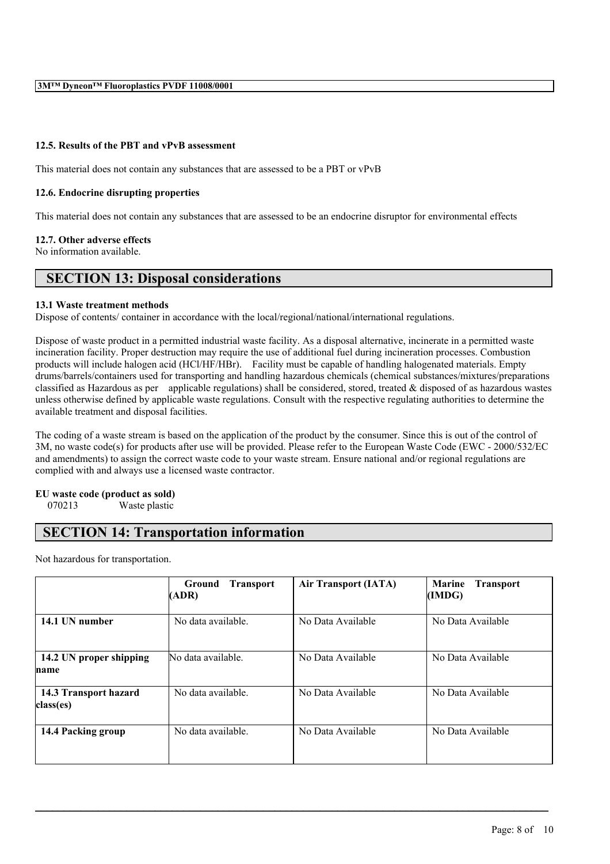### **12.5. Results of the PBT and vPvB assessment**

This material does not contain any substances that are assessed to be a PBT or vPvB

### **12.6. Endocrine disrupting properties**

This material does not contain any substances that are assessed to be an endocrine disruptor for environmental effects

#### **12.7. Other adverse effects**

No information available.

## **SECTION 13: Disposal considerations**

#### **13.1 Waste treatment methods**

Dispose of contents/ container in accordance with the local/regional/national/international regulations.

Dispose of waste product in a permitted industrial waste facility. As a disposal alternative, incinerate in a permitted waste incineration facility. Proper destruction may require the use of additional fuel during incineration processes. Combustion products will include halogen acid (HCl/HF/HBr). Facility must be capable of handling halogenated materials. Empty drums/barrels/containers used for transporting and handling hazardous chemicals (chemical substances/mixtures/preparations classified as Hazardous as per applicable regulations) shall be considered, stored, treated & disposed of as hazardous wastes unless otherwise defined by applicable waste regulations. Consult with the respective regulating authorities to determine the available treatment and disposal facilities.

The coding of a waste stream is based on the application of the product by the consumer. Since this is out of the control of 3M, no waste code(s) for products after use will be provided. Please refer to the European Waste Code (EWC - 2000/532/EC and amendments) to assign the correct waste code to your waste stream. Ensure national and/or regional regulations are complied with and always use a licensed waste contractor.

## **EU waste code (product as sold)**

070213 Waste plastic

## **SECTION 14: Transportation information**

Not hazardous for transportation.

|                                    | <b>Transport</b><br>Ground<br>(ADR) | <b>Air Transport (IATA)</b> | <b>Marine</b><br><b>Transport</b><br>(IMDG) |
|------------------------------------|-------------------------------------|-----------------------------|---------------------------------------------|
| 14.1 UN number                     | No data available.                  | No Data Available           | No Data Available                           |
| 14.2 UN proper shipping<br>name    | No data available.                  | No Data Available           | No Data Available                           |
| 14.3 Transport hazard<br>class(es) | No data available.                  | No Data Available           | No Data Available                           |
| 14.4 Packing group                 | No data available.                  | No Data Available           | No Data Available                           |

 $\mathcal{L}_\mathcal{L} = \mathcal{L}_\mathcal{L} = \mathcal{L}_\mathcal{L} = \mathcal{L}_\mathcal{L} = \mathcal{L}_\mathcal{L} = \mathcal{L}_\mathcal{L} = \mathcal{L}_\mathcal{L} = \mathcal{L}_\mathcal{L} = \mathcal{L}_\mathcal{L} = \mathcal{L}_\mathcal{L} = \mathcal{L}_\mathcal{L} = \mathcal{L}_\mathcal{L} = \mathcal{L}_\mathcal{L} = \mathcal{L}_\mathcal{L} = \mathcal{L}_\mathcal{L} = \mathcal{L}_\mathcal{L} = \mathcal{L}_\mathcal{L}$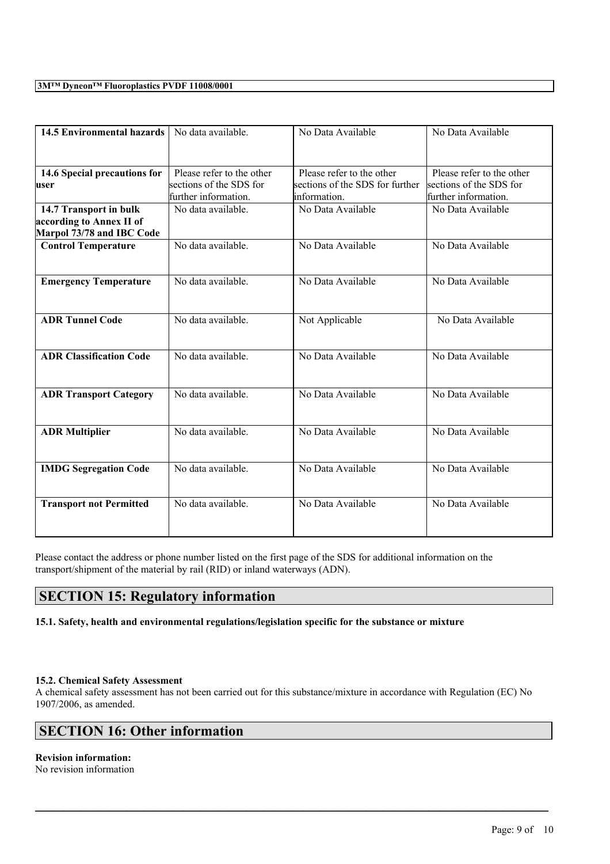## **3M™ Dyneon™ Fluoroplastics PVDF 11008/0001**

| <b>14.5 Environmental hazards</b>                                               | No data available.                                                           | No Data Available                                                            | No Data Available                                                            |
|---------------------------------------------------------------------------------|------------------------------------------------------------------------------|------------------------------------------------------------------------------|------------------------------------------------------------------------------|
| 14.6 Special precautions for<br>user                                            | Please refer to the other<br>sections of the SDS for<br>further information. | Please refer to the other<br>sections of the SDS for further<br>information. | Please refer to the other<br>sections of the SDS for<br>further information. |
| 14.7 Transport in bulk<br>according to Annex II of<br>Marpol 73/78 and IBC Code | No data available.                                                           | No Data Available                                                            | No Data Available                                                            |
| <b>Control Temperature</b>                                                      | No data available.                                                           | No Data Available                                                            | No Data Available                                                            |
| <b>Emergency Temperature</b>                                                    | No data available.                                                           | No Data Available                                                            | No Data Available                                                            |
| <b>ADR Tunnel Code</b>                                                          | No data available.                                                           | Not Applicable                                                               | No Data Available                                                            |
| <b>ADR Classification Code</b>                                                  | No data available.                                                           | No Data Available                                                            | No Data Available                                                            |
| <b>ADR Transport Category</b>                                                   | No data available.                                                           | No Data Available                                                            | No Data Available                                                            |
| <b>ADR Multiplier</b>                                                           | No data available.                                                           | No Data Available                                                            | No Data Available                                                            |
| <b>IMDG Segregation Code</b>                                                    | No data available.                                                           | No Data Available                                                            | No Data Available                                                            |
| <b>Transport not Permitted</b>                                                  | No data available.                                                           | No Data Available                                                            | No Data Available                                                            |

Please contact the address or phone number listed on the first page of the SDS for additional information on the transport/shipment of the material by rail (RID) or inland waterways (ADN).

## **SECTION 15: Regulatory information**

## **15.1. Safety, health and environmental regulations/legislation specific for the substance or mixture**

## **15.2. Chemical Safety Assessment**

A chemical safety assessment has not been carried out for this substance/mixture in accordance with Regulation (EC) No 1907/2006, as amended.

 $\mathcal{L}_\mathcal{L} = \mathcal{L}_\mathcal{L} = \mathcal{L}_\mathcal{L} = \mathcal{L}_\mathcal{L} = \mathcal{L}_\mathcal{L} = \mathcal{L}_\mathcal{L} = \mathcal{L}_\mathcal{L} = \mathcal{L}_\mathcal{L} = \mathcal{L}_\mathcal{L} = \mathcal{L}_\mathcal{L} = \mathcal{L}_\mathcal{L} = \mathcal{L}_\mathcal{L} = \mathcal{L}_\mathcal{L} = \mathcal{L}_\mathcal{L} = \mathcal{L}_\mathcal{L} = \mathcal{L}_\mathcal{L} = \mathcal{L}_\mathcal{L}$ 

## **SECTION 16: Other information**

## **Revision information:**

No revision information